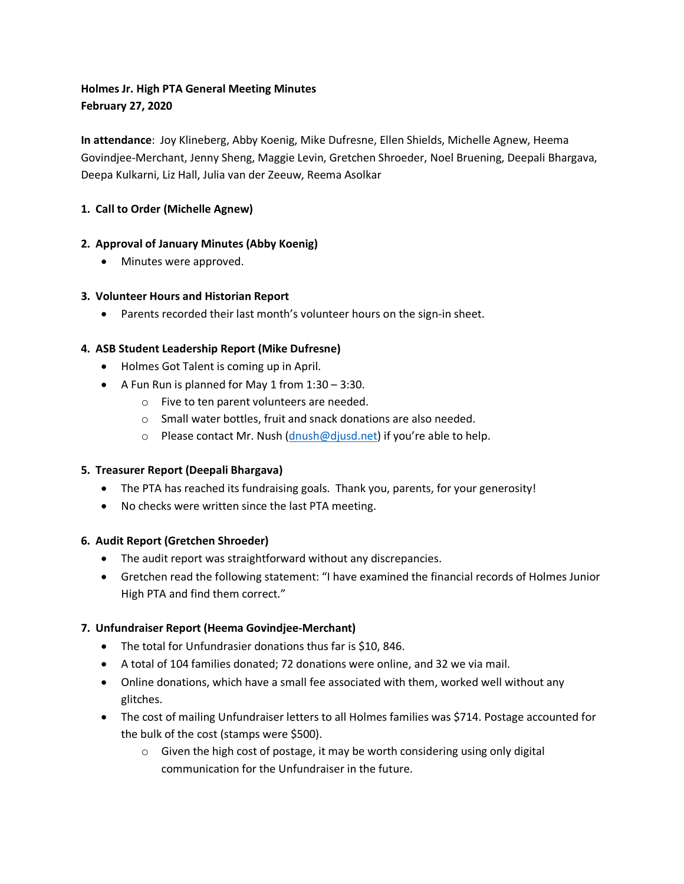# **Holmes Jr. High PTA General Meeting Minutes February 27, 2020**

**In attendance**: Joy Klineberg, Abby Koenig, Mike Dufresne, Ellen Shields, Michelle Agnew, Heema Govindjee-Merchant, Jenny Sheng, Maggie Levin, Gretchen Shroeder, Noel Bruening, Deepali Bhargava, Deepa Kulkarni, Liz Hall, Julia van der Zeeuw, Reema Asolkar

## **1. Call to Order (Michelle Agnew)**

## **2. Approval of January Minutes (Abby Koenig)**

• Minutes were approved.

## **3. Volunteer Hours and Historian Report**

• Parents recorded their last month's volunteer hours on the sign-in sheet.

## **4. ASB Student Leadership Report (Mike Dufresne)**

- Holmes Got Talent is coming up in April.
- A Fun Run is planned for May 1 from 1:30 3:30.
	- o Five to ten parent volunteers are needed.
	- o Small water bottles, fruit and snack donations are also needed.
	- o Please contact Mr. Nush  $(dnush@djusd.net)$  if you're able to help.

## **5. Treasurer Report (Deepali Bhargava)**

- The PTA has reached its fundraising goals. Thank you, parents, for your generosity!
- No checks were written since the last PTA meeting.

## **6. Audit Report (Gretchen Shroeder)**

- The audit report was straightforward without any discrepancies.
- Gretchen read the following statement: "I have examined the financial records of Holmes Junior High PTA and find them correct."

## **7. Unfundraiser Report (Heema Govindjee-Merchant)**

- The total for Unfundrasier donations thus far is \$10, 846.
- A total of 104 families donated; 72 donations were online, and 32 we via mail.
- Online donations, which have a small fee associated with them, worked well without any glitches.
- The cost of mailing Unfundraiser letters to all Holmes families was \$714. Postage accounted for the bulk of the cost (stamps were \$500).
	- o Given the high cost of postage, it may be worth considering using only digital communication for the Unfundraiser in the future.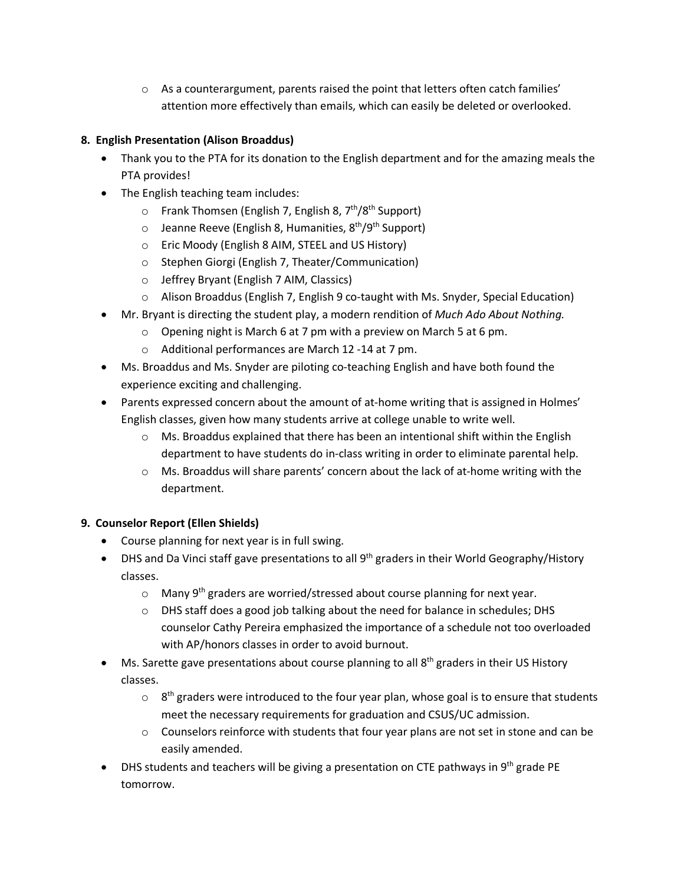$\circ$  As a counterargument, parents raised the point that letters often catch families' attention more effectively than emails, which can easily be deleted or overlooked.

## **8. English Presentation (Alison Broaddus)**

- Thank you to the PTA for its donation to the English department and for the amazing meals the PTA provides!
- The English teaching team includes:
	- $\circ$  Frank Thomsen (English 7, English 8, 7<sup>th</sup>/8<sup>th</sup> Support)
	- $\circ$  Jeanne Reeve (English 8, Humanities,  $8^{th}/9^{th}$  Support)
	- o Eric Moody (English 8 AIM, STEEL and US History)
	- o Stephen Giorgi (English 7, Theater/Communication)
	- o Jeffrey Bryant (English 7 AIM, Classics)
	- o Alison Broaddus (English 7, English 9 co-taught with Ms. Snyder, Special Education)
- Mr. Bryant is directing the student play, a modern rendition of *Much Ado About Nothing.*
	- o Opening night is March 6 at 7 pm with a preview on March 5 at 6 pm.
	- o Additional performances are March 12 -14 at 7 pm.
- Ms. Broaddus and Ms. Snyder are piloting co-teaching English and have both found the experience exciting and challenging.
- Parents expressed concern about the amount of at-home writing that is assigned in Holmes' English classes, given how many students arrive at college unable to write well.
	- $\circ$  Ms. Broaddus explained that there has been an intentional shift within the English department to have students do in-class writing in order to eliminate parental help.
	- o Ms. Broaddus will share parents' concern about the lack of at-home writing with the department.

## **9. Counselor Report (Ellen Shields)**

- Course planning for next year is in full swing.
- DHS and Da Vinci staff gave presentations to all 9<sup>th</sup> graders in their World Geography/History classes.
	- $\circ$  Many 9<sup>th</sup> graders are worried/stressed about course planning for next year.
	- o DHS staff does a good job talking about the need for balance in schedules; DHS counselor Cathy Pereira emphasized the importance of a schedule not too overloaded with AP/honors classes in order to avoid burnout.
- Ms. Sarette gave presentations about course planning to all  $8<sup>th</sup>$  graders in their US History classes.
	- $\circ$  8<sup>th</sup> graders were introduced to the four year plan, whose goal is to ensure that students meet the necessary requirements for graduation and CSUS/UC admission.
	- $\circ$  Counselors reinforce with students that four year plans are not set in stone and can be easily amended.
- DHS students and teachers will be giving a presentation on CTE pathways in 9<sup>th</sup> grade PE tomorrow.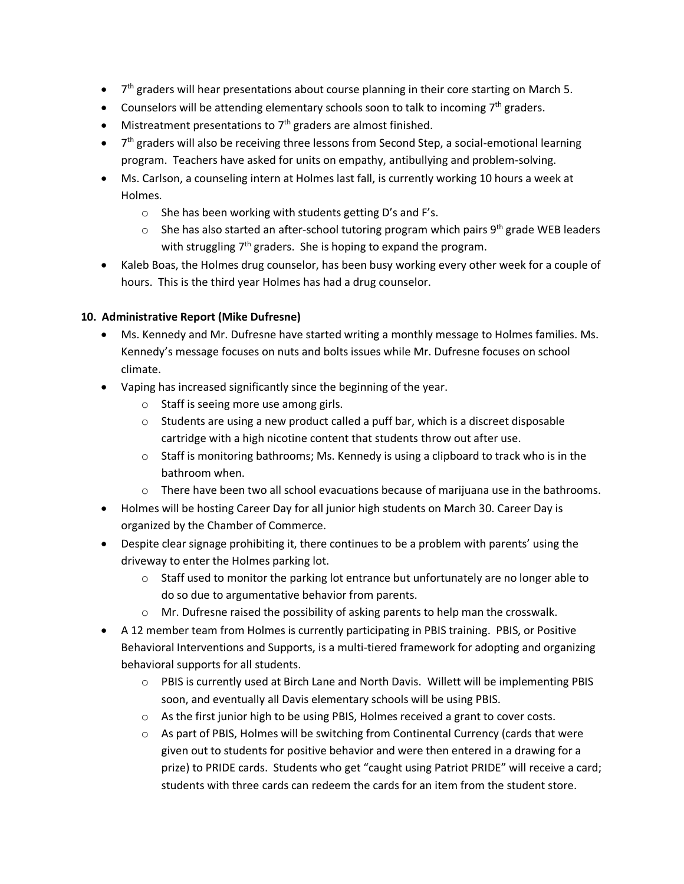- $\bullet$   $7<sup>th</sup>$  graders will hear presentations about course planning in their core starting on March 5.
- Counselors will be attending elementary schools soon to talk to incoming  $7<sup>th</sup>$  graders.
- Mistreatment presentations to  $7<sup>th</sup>$  graders are almost finished.
- $\bullet$   $7<sup>th</sup>$  graders will also be receiving three lessons from Second Step, a social-emotional learning program. Teachers have asked for units on empathy, antibullying and problem-solving.
- Ms. Carlson, a counseling intern at Holmes last fall, is currently working 10 hours a week at Holmes.
	- o She has been working with students getting D's and F's.
	- $\circ$  She has also started an after-school tutoring program which pairs 9<sup>th</sup> grade WEB leaders with struggling  $7<sup>th</sup>$  graders. She is hoping to expand the program.
- Kaleb Boas, the Holmes drug counselor, has been busy working every other week for a couple of hours. This is the third year Holmes has had a drug counselor.

## **10. Administrative Report (Mike Dufresne)**

- Ms. Kennedy and Mr. Dufresne have started writing a monthly message to Holmes families. Ms. Kennedy's message focuses on nuts and bolts issues while Mr. Dufresne focuses on school climate.
- Vaping has increased significantly since the beginning of the year.
	- o Staff is seeing more use among girls.
	- o Students are using a new product called a puff bar, which is a discreet disposable cartridge with a high nicotine content that students throw out after use.
	- $\circ$  Staff is monitoring bathrooms; Ms. Kennedy is using a clipboard to track who is in the bathroom when.
	- $\circ$  There have been two all school evacuations because of marijuana use in the bathrooms.
- Holmes will be hosting Career Day for all junior high students on March 30. Career Day is organized by the Chamber of Commerce.
- Despite clear signage prohibiting it, there continues to be a problem with parents' using the driveway to enter the Holmes parking lot.
	- $\circ$  Staff used to monitor the parking lot entrance but unfortunately are no longer able to do so due to argumentative behavior from parents.
	- o Mr. Dufresne raised the possibility of asking parents to help man the crosswalk.
- A 12 member team from Holmes is currently participating in PBIS training. PBIS, or Positive Behavioral Interventions and Supports, is a multi-tiered framework for adopting and organizing behavioral supports for all students.
	- o PBIS is currently used at Birch Lane and North Davis. Willett will be implementing PBIS soon, and eventually all Davis elementary schools will be using PBIS.
	- o As the first junior high to be using PBIS, Holmes received a grant to cover costs.
	- o As part of PBIS, Holmes will be switching from Continental Currency (cards that were given out to students for positive behavior and were then entered in a drawing for a prize) to PRIDE cards. Students who get "caught using Patriot PRIDE" will receive a card; students with three cards can redeem the cards for an item from the student store.